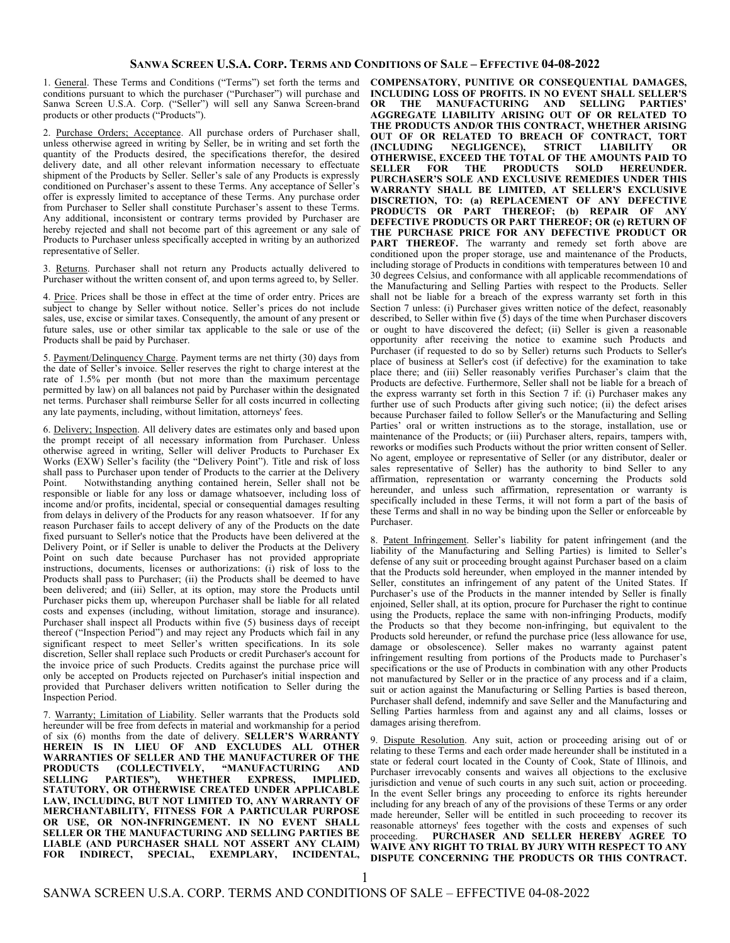## **SANWA SCREEN U.S.A. CORP. TERMS AND CONDITIONS OF SALE – EFFECTIVE 04-08-2022**

1. General. These Terms and Conditions ("Terms") set forth the terms and conditions pursuant to which the purchaser ("Purchaser") will purchase and Sanwa Screen U.S.A. Corp. ("Seller") will sell any Sanwa Screen-brand products or other products ("Products").

2. Purchase Orders; Acceptance. All purchase orders of Purchaser shall, unless otherwise agreed in writing by Seller, be in writing and set forth the quantity of the Products desired, the specifications therefor, the desired delivery date, and all other relevant information necessary to effectuate shipment of the Products by Seller. Seller's sale of any Products is expressly conditioned on Purchaser's assent to these Terms. Any acceptance of Seller's offer is expressly limited to acceptance of these Terms. Any purchase order from Purchaser to Seller shall constitute Purchaser's assent to these Terms. Any additional, inconsistent or contrary terms provided by Purchaser are hereby rejected and shall not become part of this agreement or any sale of Products to Purchaser unless specifically accepted in writing by an authorized representative of Seller.

3. Returns. Purchaser shall not return any Products actually delivered to Purchaser without the written consent of, and upon terms agreed to, by Seller.

4. Price. Prices shall be those in effect at the time of order entry. Prices are subject to change by Seller without notice. Seller's prices do not include sales, use, excise or similar taxes. Consequently, the amount of any present or future sales, use or other similar tax applicable to the sale or use of the Products shall be paid by Purchaser.

5. Payment/Delinquency Charge. Payment terms are net thirty (30) days from the date of Seller's invoice. Seller reserves the right to charge interest at the rate of 1.5% per month (but not more than the maximum percentage permitted by law) on all balances not paid by Purchaser within the designated net terms. Purchaser shall reimburse Seller for all costs incurred in collecting any late payments, including, without limitation, attorneys' fees.

6. Delivery; Inspection. All delivery dates are estimates only and based upon the prompt receipt of all necessary information from Purchaser. Unless otherwise agreed in writing, Seller will deliver Products to Purchaser Ex Works (EXW) Seller's facility (the "Delivery Point"). Title and risk of loss shall pass to Purchaser upon tender of Products to the carrier at the Delivery<br>Point Motwithstanding anything contained herein. Seller shall not be Notwithstanding anything contained herein, Seller shall not be responsible or liable for any loss or damage whatsoever, including loss of income and/or profits, incidental, special or consequential damages resulting from delays in delivery of the Products for any reason whatsoever. If for any reason Purchaser fails to accept delivery of any of the Products on the date fixed pursuant to Seller's notice that the Products have been delivered at the Delivery Point, or if Seller is unable to deliver the Products at the Delivery Point on such date because Purchaser has not provided appropriate instructions, documents, licenses or authorizations: (i) risk of loss to the Products shall pass to Purchaser; (ii) the Products shall be deemed to have been delivered; and (iii) Seller, at its option, may store the Products until Purchaser picks them up, whereupon Purchaser shall be liable for all related costs and expenses (including, without limitation, storage and insurance). Purchaser shall inspect all Products within five (5) business days of receipt thereof ("Inspection Period") and may reject any Products which fail in any significant respect to meet Seller's written specifications. In its sole discretion, Seller shall replace such Products or credit Purchaser's account for the invoice price of such Products. Credits against the purchase price will only be accepted on Products rejected on Purchaser's initial inspection and provided that Purchaser delivers written notification to Seller during the Inspection Period.

7. Warranty; Limitation of Liability. Seller warrants that the Products sold hereunder will be free from defects in material and workmanship for a period of six (6) months from the date of delivery. **SELLER'S WARRANTY HEREIN IS IN LIEU OF AND EXCLUDES ALL OTHER WARRANTIES OF SELLER AND THE MANUFACTURER OF THE PRODUCTS (COLLECTIVELY, "MANUFACTURING AND**  SELLING PARTIES"), WHETHER EXPRESS, **STATUTORY, OR OTHERWISE CREATED UNDER APPLICABLE LAW, INCLUDING, BUT NOT LIMITED TO, ANY WARRANTY OF MERCHANTABILITY, FITNESS FOR A PARTICULAR PURPOSE OR USE, OR NON-INFRINGEMENT. IN NO EVENT SHALL SELLER OR THE MANUFACTURING AND SELLING PARTIES BE LIABLE (AND PURCHASER SHALL NOT ASSERT ANY CLAIM) FOR INDIRECT, SPECIAL, EXEMPLARY, INCIDENTAL,** 

**COMPENSATORY, PUNITIVE OR CONSEQUENTIAL DAMAGES, INCLUDING LOSS OF PROFITS. IN NO EVENT SHALL SELLER'S OR THE MANUFACTURING AND SELLING PARTIES' AGGREGATE LIABILITY ARISING OUT OF OR RELATED TO THE PRODUCTS AND/OR THIS CONTRACT, WHETHER ARISING OUT OF OR RELATED TO BREACH OF CONTRACT, TORT (INCLUDING NEGLIGENCE), STRICT LIABILITY OR OTHERWISE, EXCEED THE TOTAL OF THE AMOUNTS PAID TO**  THE PRODUCTS SOLD **PURCHASER'S SOLE AND EXCLUSIVE REMEDIES UNDER THIS WARRANTY SHALL BE LIMITED, AT SELLER'S EXCLUSIVE DISCRETION, TO: (a) REPLACEMENT OF ANY DEFECTIVE PRODUCTS OR PART THEREOF; (b) REPAIR OF ANY DEFECTIVE PRODUCTS OR PART THEREOF; OR (c) RETURN OF THE PURCHASE PRICE FOR ANY DEFECTIVE PRODUCT OR**  PART THEREOF. The warranty and remedy set forth above are conditioned upon the proper storage, use and maintenance of the Products, including storage of Products in conditions with temperatures between 10 and 30 degrees Celsius, and conformance with all applicable recommendations of the Manufacturing and Selling Parties with respect to the Products. Seller shall not be liable for a breach of the express warranty set forth in this Section 7 unless: (i) Purchaser gives written notice of the defect, reasonably described, to Seller within five  $(5)$  days of the time when Purchaser discovers or ought to have discovered the defect; (ii) Seller is given a reasonable opportunity after receiving the notice to examine such Products and Purchaser (if requested to do so by Seller) returns such Products to Seller's place of business at Seller's cost (if defective) for the examination to take place there; and (iii) Seller reasonably verifies Purchaser's claim that the Products are defective. Furthermore, Seller shall not be liable for a breach of the express warranty set forth in this Section 7 if: (i) Purchaser makes any further use of such Products after giving such notice; (ii) the defect arises because Purchaser failed to follow Seller's or the Manufacturing and Selling Parties' oral or written instructions as to the storage, installation, use or maintenance of the Products; or (iii) Purchaser alters, repairs, tampers with, reworks or modifies such Products without the prior written consent of Seller. No agent, employee or representative of Seller (or any distributor, dealer or sales representative of Seller) has the authority to bind Seller to any affirmation, representation or warranty concerning the Products sold hereunder, and unless such affirmation, representation or warranty is specifically included in these Terms, it will not form a part of the basis of these Terms and shall in no way be binding upon the Seller or enforceable by Purchaser.

8. Patent Infringement. Seller's liability for patent infringement (and the liability of the Manufacturing and Selling Parties) is limited to Seller's defense of any suit or proceeding brought against Purchaser based on a claim that the Products sold hereunder, when employed in the manner intended by Seller, constitutes an infringement of any patent of the United States. If Purchaser's use of the Products in the manner intended by Seller is finally enjoined, Seller shall, at its option, procure for Purchaser the right to continue using the Products, replace the same with non-infringing Products, modify the Products so that they become non-infringing, but equivalent to the Products sold hereunder, or refund the purchase price (less allowance for use, damage or obsolescence). Seller makes no warranty against patent infringement resulting from portions of the Products made to Purchaser's specifications or the use of Products in combination with any other Products not manufactured by Seller or in the practice of any process and if a claim, suit or action against the Manufacturing or Selling Parties is based thereon, Purchaser shall defend, indemnify and save Seller and the Manufacturing and Selling Parties harmless from and against any and all claims, losses or damages arising therefrom.

9. Dispute Resolution. Any suit, action or proceeding arising out of or relating to these Terms and each order made hereunder shall be instituted in a state or federal court located in the County of Cook, State of Illinois, and Purchaser irrevocably consents and waives all objections to the exclusive jurisdiction and venue of such courts in any such suit, action or proceeding. In the event Seller brings any proceeding to enforce its rights hereunder including for any breach of any of the provisions of these Terms or any order made hereunder, Seller will be entitled in such proceeding to recover its reasonable attorneys' fees together with the costs and expenses of such proceeding. PURCHASER AND SELLER HEREBY AGREE TO PURCHASER AND SELLER HEREBY AGREE TO **WAIVE ANY RIGHT TO TRIAL BY JURY WITH RESPECT TO ANY DISPUTE CONCERNING THE PRODUCTS OR THIS CONTRACT.**